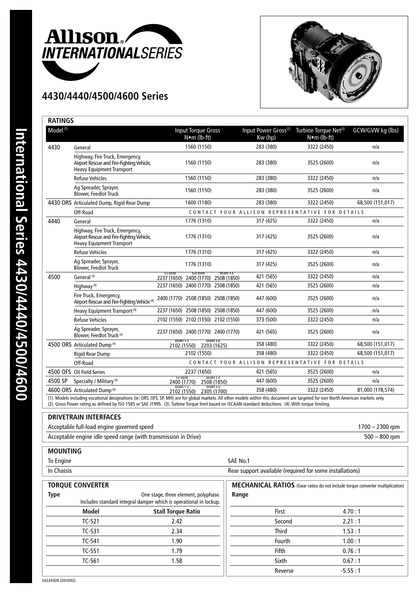

## **4430/4440/4500/4600 Series**



| Model <sup>(1)</sup> |                                                                                                                  | <b>Input Torque Gross</b><br>N•m (lb-ft)                                                                                                                                                                                                                                                                                                       | Input Power Gross <sup>(2)</sup><br>Kw (hp) | Turbine Torque Net <sup>(3)</sup><br>N•m (lb-ft) | GCW/GVW kg (lbs)  |
|----------------------|------------------------------------------------------------------------------------------------------------------|------------------------------------------------------------------------------------------------------------------------------------------------------------------------------------------------------------------------------------------------------------------------------------------------------------------------------------------------|---------------------------------------------|--------------------------------------------------|-------------------|
| 4430                 | General                                                                                                          | 1560 (1150)                                                                                                                                                                                                                                                                                                                                    | 283 (380)                                   | 3322 (2450)                                      | n/a               |
|                      | Highway, Fire Truck, Emergency,<br>Airport Rescue and Fire-Fighting Vehicle,<br><b>Heavy Equipment Transport</b> | 1560 (1150)                                                                                                                                                                                                                                                                                                                                    | 283 (380)                                   | 3525 (2600)                                      | n/a               |
|                      | <b>Refuse Vehicles</b>                                                                                           | 1560 (1150)                                                                                                                                                                                                                                                                                                                                    | 283 (380)                                   | 3322 (2450)                                      | n/a               |
|                      | Ag Spreader, Sprayer,<br><b>Blower, Feedlot Truck</b>                                                            | 1560 (1150)                                                                                                                                                                                                                                                                                                                                    | 283 (380)                                   | 3525 (2600)                                      | n/a               |
|                      | 4430 ORS Articulated Dump, Rigid Rear Dump                                                                       | 1600 (1180)                                                                                                                                                                                                                                                                                                                                    | 283 (380)                                   | 3322 (2450)                                      | 68,500 (151,017)  |
|                      | Off-Road                                                                                                         | CONTACT YOUR ALLISON REPRESENTATIVE FOR DETAILS                                                                                                                                                                                                                                                                                                |                                             |                                                  |                   |
| 4440                 | General                                                                                                          | 1776 (1310)                                                                                                                                                                                                                                                                                                                                    | 317 (425)                                   | 3322 (2450)                                      | n/a               |
|                      | Highway, Fire Truck, Emergency,<br>Airport Rescue and Fire-Fighting Vehicle,<br><b>Heavy Equipment Transport</b> | 1776 (1310)                                                                                                                                                                                                                                                                                                                                    | 317 (425)                                   | 3525 (2600)                                      | n/a               |
|                      | <b>Refuse Vehicles</b>                                                                                           | 1776 (1310)                                                                                                                                                                                                                                                                                                                                    | 317 (425)                                   | 3322 (2450)                                      | n/a               |
|                      | Ag Spreader, Sprayer,<br><b>Blower, Feedlot Truck</b>                                                            | 1776 (1310)                                                                                                                                                                                                                                                                                                                                    | 317 (425)                                   | 3525 (2600)                                      | n/a               |
| 4500                 | General <sup>(4)</sup>                                                                                           | <b>GEARS 3-6</b><br>2nd GEAR<br>1st GEAR<br>2237 (1650) 2400 (1770) 2508 (1850)                                                                                                                                                                                                                                                                | 421 (565)                                   | 3322 (2450)                                      | n/a               |
|                      | Highway <sup>(4)</sup>                                                                                           | 2237 (1650) 2400 (1770) 2508 (1850)                                                                                                                                                                                                                                                                                                            | 421 (565)                                   | 3525 (2600)                                      | n/a               |
|                      | Fire Truck, Emergency,<br>Airport Rescue and Fire-Fighting Vehicle <sup>(4)</sup>                                | 2400 (1770) 2508 (1850) 2508 (1850)                                                                                                                                                                                                                                                                                                            | 447 (600)                                   | 3525 (2600)                                      | n/a               |
|                      | Heavy Equipment Transport <sup>(4)</sup>                                                                         | 2237 (1650) 2508 (1850) 2508 (1850)                                                                                                                                                                                                                                                                                                            | 447 (600)                                   | 3525 (2600)                                      | n/a               |
|                      | <b>Refuse Vehicles</b>                                                                                           | 2102 (1550) 2102 (1550) 2102 (1550)                                                                                                                                                                                                                                                                                                            | 373 (500)                                   | 3322 (2450)                                      | n/a               |
|                      | Ag Spreader, Sprayer,<br>Blower, Feedlot Truck <sup>(4)</sup>                                                    | 2237 (1650) 2400 (1770) 2400 (1770)                                                                                                                                                                                                                                                                                                            | 421 (565)                                   | 3525 (2600)                                      | n/a               |
|                      | 4500 ORS Articulated Dump <sup>(4)</sup>                                                                         | <b>GEARS 3-6</b><br><b>GEARS 1-2</b><br>2203 (1625)<br>2102 (1550)                                                                                                                                                                                                                                                                             | 358 (480)                                   | 3322 (2450)                                      | 68,500 (151,017)  |
|                      | <b>Rigid Rear Dump</b>                                                                                           | 2102 (1550)                                                                                                                                                                                                                                                                                                                                    | 358 (480)                                   | 3322 (2450)                                      | 68,500 (151,017)  |
|                      | Off-Road                                                                                                         |                                                                                                                                                                                                                                                                                                                                                |                                             | CONTACT YOUR ALLISON REPRESENTATIVE FOR DETAILS  |                   |
|                      | 4500 OFS Oil Field Series                                                                                        | 2237 (1650)                                                                                                                                                                                                                                                                                                                                    | 421 (565)                                   | 3525 (2600)                                      | n/a               |
| 4500 SP              | Specialty / Military <sup>(4)</sup>                                                                              | <b>GEARS 2-6</b><br>1st GEAR<br>2508 (1850)<br>2400 (1770)                                                                                                                                                                                                                                                                                     | 447 (600)                                   | 3525 (2600)                                      | n/a               |
|                      | 4600 ORS Articulated Dump <sup>(4)</sup>                                                                         | <b>GEARS 1-2</b><br><b>GEARS 3-6</b><br>2305 (1700)<br>2102 (1550)                                                                                                                                                                                                                                                                             | 358 (480)                                   | 3322 (2450)                                      | 81,000 (178,574)  |
|                      |                                                                                                                  | (1). Models including vocational designations (ie: ORS, OFS, SP, MH) are for global markets. All other models within this document are targeted for non North American markets only.<br>(2). Gross Power rating as defined by ISO 1585 or SAE J1995. (3). Turbine Torque limit based on iSCAAN standard deductions. (4). With torque limiting. |                                             |                                                  |                   |
|                      | <b>DRIVETRAIN INTERFACES</b>                                                                                     |                                                                                                                                                                                                                                                                                                                                                |                                             |                                                  |                   |
|                      | Acceptable full-load engine governed speed                                                                       |                                                                                                                                                                                                                                                                                                                                                |                                             |                                                  | $1700 - 2300$ rpm |
|                      | Acceptable engine idle speed range (with transmission in Drive)                                                  |                                                                                                                                                                                                                                                                                                                                                |                                             |                                                  | $500 - 800$ rpm   |

## **MOUNTING**

To Engine SAE No.1

In Chassis **In Chassis** Rear support available (required for some installations)

| <b>TORQUE CONVERTER</b>                                                                                                  |          |                           | MECHANICAL RATIOS (Gear ratios do not include torque converter multiplication)<br>Range |           |  |
|--------------------------------------------------------------------------------------------------------------------------|----------|---------------------------|-----------------------------------------------------------------------------------------|-----------|--|
| <b>Type</b><br>One stage, three element, polyphase.<br>Includes standard integral damper which is operational in lockup. |          |                           |                                                                                         |           |  |
|                                                                                                                          | Model    | <b>Stall Torque Ratio</b> | First                                                                                   | 4.70:1    |  |
|                                                                                                                          | $TC-521$ | 2.42                      | Second                                                                                  | 2.21:1    |  |
|                                                                                                                          | TC-531   | 2.34                      | <b>Third</b>                                                                            | 1.53:1    |  |
|                                                                                                                          | TC-541   | 1.90                      | Fourth                                                                                  | 1.00:1    |  |
|                                                                                                                          | TC-551   | 1.79                      | Fifth                                                                                   | 0.76:1    |  |
|                                                                                                                          | TC-561   | 1.58                      | Sixth                                                                                   | 0.67:1    |  |
|                                                                                                                          |          |                           | Reverse                                                                                 | $-5.55:1$ |  |